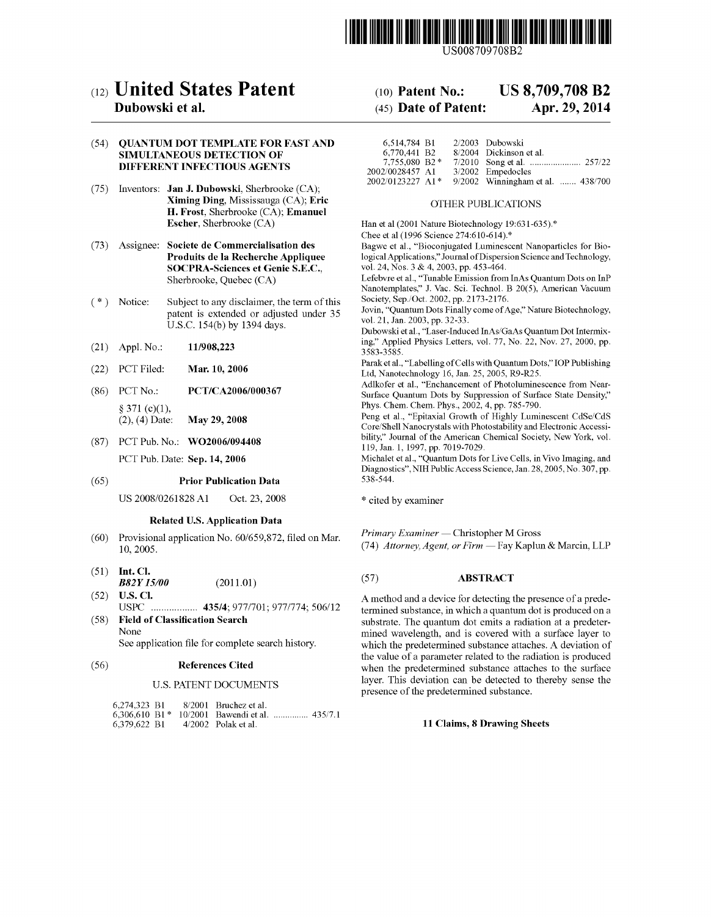

US008709708B2

# (12) **United** States **Patent**

### Dubowski et al.

#### (54) QUANTUM DOT TEMPLATE FOR FAST AND SIMULTANEOUS DETECTION OF DIFFERENT INFECTIOUS AGENTS

- (75) Inventors: Jan J. Dubowski, Sherbrooke (CA); Ximing Ding, Mississauga (CA); Eric H. Frost, Sherbrooke (CA); Emanuel Escher, Sherbrooke (CA)
- (73) Assignee: Societe de Commercialisation des Produits de la Recherche Appliquee SOCPRA-Sciences et Genie S.E.C., Sherbrooke, Quebec (CA)
- ( \*) Notice: Subject to any disclaimer, the term of this patent is extended or adjusted under 35 U.S.c. 154(b) by 1394 days.
- (21) Appl. No.: 11/908,223
- (22) PCT Filed: Mar. 10, 2006
- (86) PCT No.: PCT/CA2006/000367  $§ 371 (c)(1),$ <br>(2), (4) Date: May 29, 2008
- (87) PCT Pub. No.: W02006/094408

PCT Pub. Date: Sep. 14, 2006

#### (65) Prior Publication Data

US 2008/0261828 Al Oct. 23, 2008

#### Related U.S. Application Data

- (60) Provisional application No. 60/659,872, filed on Mar. 10,2005.
- (51) Int. Cl. *B82Y 15/00* (2011.01 )
- (52) U.S. Cl. USPC .................. 435/4; 9771701; *9771774; 506112*  (58) Field of Classification Search
- None See application file for complete search history.

#### (56) References Cited

#### U.S. PATENT DOCUMENTS

| 6.274.323 B1 |  | 8/2001 Bruchez et al.                            |  |
|--------------|--|--------------------------------------------------|--|
|              |  | 6,306,610 B1 * $10/2001$ Bawendi et al.  435/7.1 |  |
| 6,379,622 B1 |  | $4/2002$ Polak et al.                            |  |

## (10) Patent No.: US 8,709,708 B2

### (45) Date of Patent: Apr. 29, 2014

| 2/2003 Dubowski                   | 6.514.784 B1     |
|-----------------------------------|------------------|
| 8/2004 Dickinson et al.           | 6.770.441 B2     |
|                                   | 7.755,080 B2 *   |
| 3/2002 Empedocles                 | 2002/0028457 A1  |
| 9/2002 Winningham et al.  438/700 | 2002/0123227 A1* |

#### OTHER PUBLICATIONS

Han et al (2001 Nature Biotechnology 19:631-635).\* Chee et al (1996 Science 274:610-614).\*

Bagwe et al., "Bioconjugated Luminescent Nanoparticles for Biological Applications," Journal of Dispersion Science and Technology, vol. 24, Nos. 3 & 4, 2003, pp. 453-464.

Lefebvre et aI., "Tunable Emission from InAs Quantum Dots on InP Nanotemplates," J. Vac. Sci. Technol. B 20(5), American Vacuum Society, Sep./Oct. 2002, pp. 2173-2176.

Jovin, "Quantum Dots Finally come of Age," Nature Biotechnology, vol. 21, Jan. 2003, pp. 32-33.

Dubowski et aI., "Laser-Induced InAs/GaAs Quantum Dot Intermixing," Applied Physics Letters, vol. 77, No. 22, Nov. 27, 2000, pp. 3583-3585.

Parak et al., "Labelling of Cells with Quantum Dots," lOP Publishing Ltd, Nanotechnology 16, Jan. 25, 2005, R9-R25.

Adlkofer et aI., "Enchancement of Photoluminescence from Near-Surface Quantum Dots by Suppression of Surface State Density," Phys. Chern. Chern. Phys., 2002, 4, pp. 785-790.

Peng et al., "Epitaxial Growth of Highly Luminescent CdSe/CdS Core/Shell Nanocrystals with Photostability and Electronic Accessibility," Journal of the American Chemical Society, New York, vol. 119, Jan. 1, 1997, pp. 7019-7029.

Michalet et al., "Quantum Dots for Live Cells, in Vivo Imaging, and Diagnostics", NIH Public Access Science, Jan. 28, 2005, No. 307, pp. 538-544.

\* cited by examiner

*Primary Examiner* - Christopher M Gross *(74) Attorney, Agent, or Firm - Fay Kaplun & Marcin, LLP* 

#### (57) ABSTRACT

A method and a device for detecting the presence of a predetermined substance, in which a quantum dot is produced on a substrate. The quantum dot emits a radiation at a predetermined wavelength, and is covered with a surface layer to which the predetermined substance attaches. A deviation of the value of a parameter related to the radiation is produced when the predetermined substance attaches to the surface layer. This deviation can be detected to thereby sense the presence of the predetermined substance.

#### 11 Claims, 8 Drawing Sheets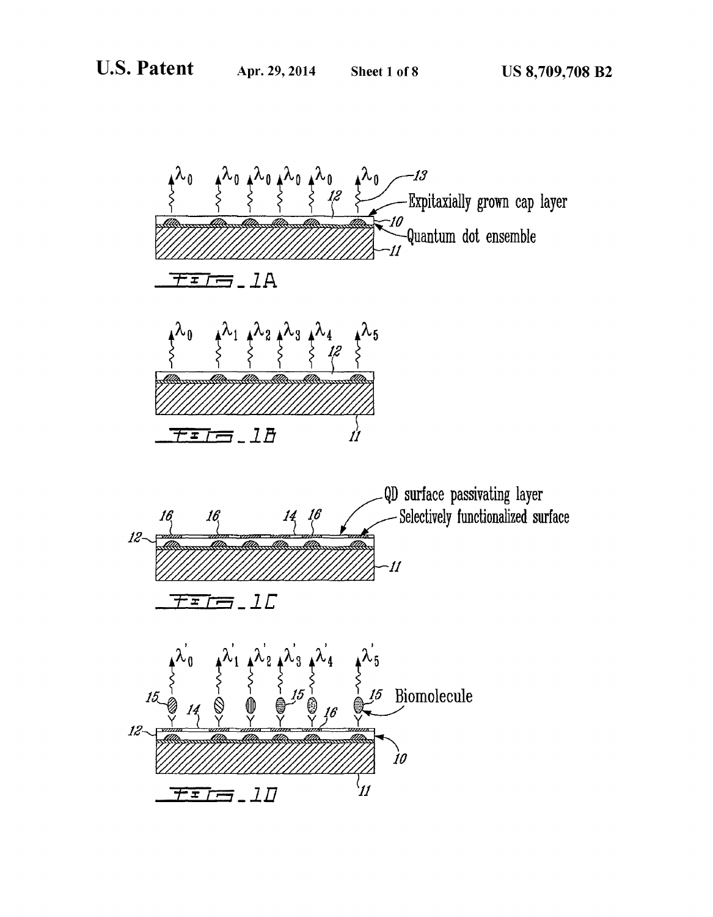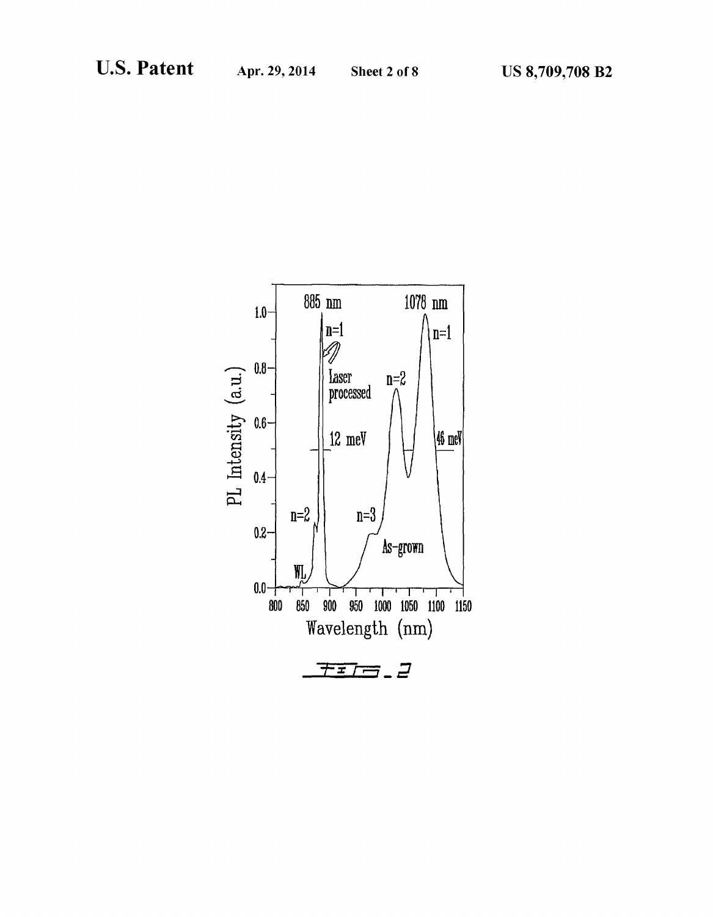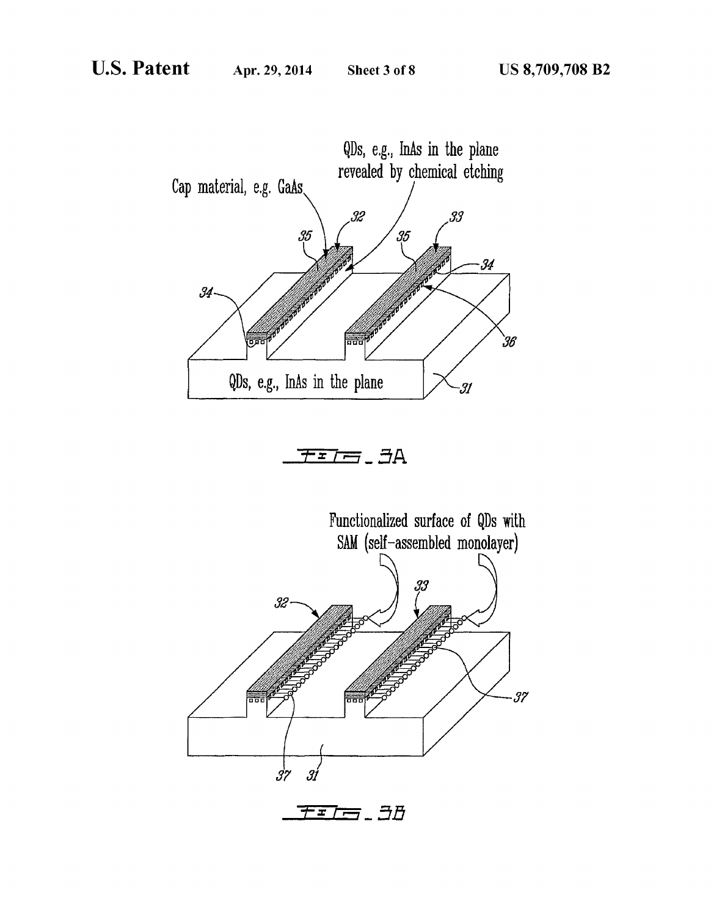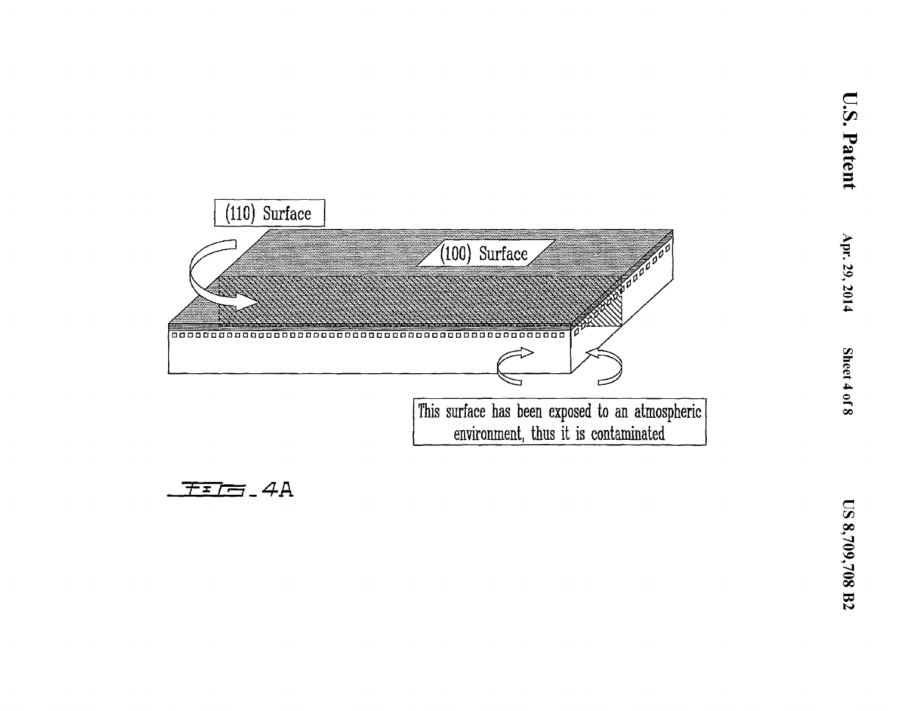

$$
\boxed{\textcolor{blue}{\mathcal{F}:\mathcal{F}=\textcolor{blue}{\mathcal{F}}\textcolor{blue}{=}}-4A}
$$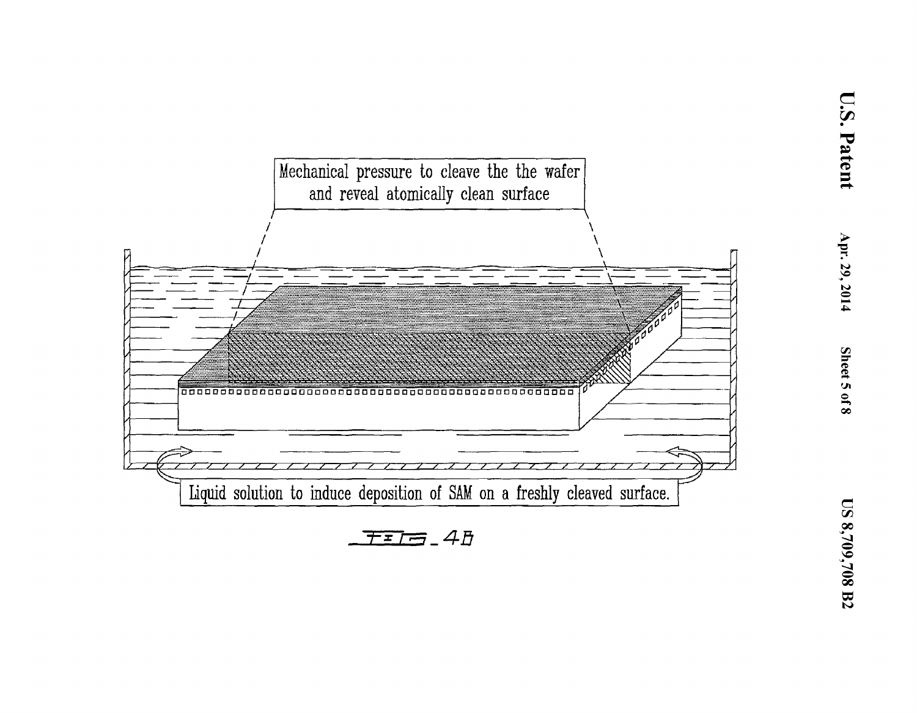

 $F = 4B$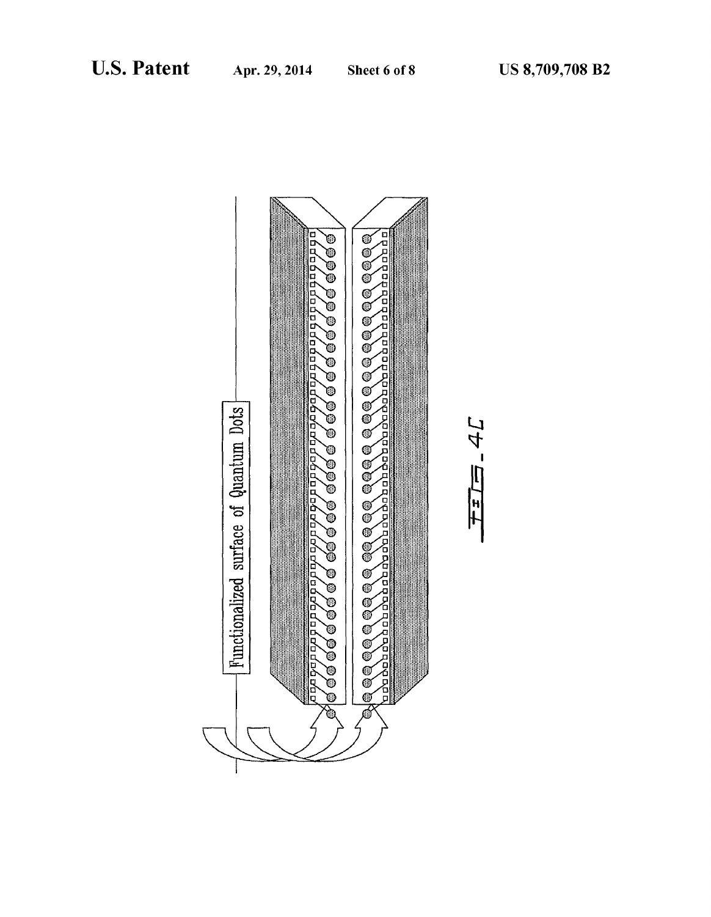

コケ 三

 $\frac{1}{T}$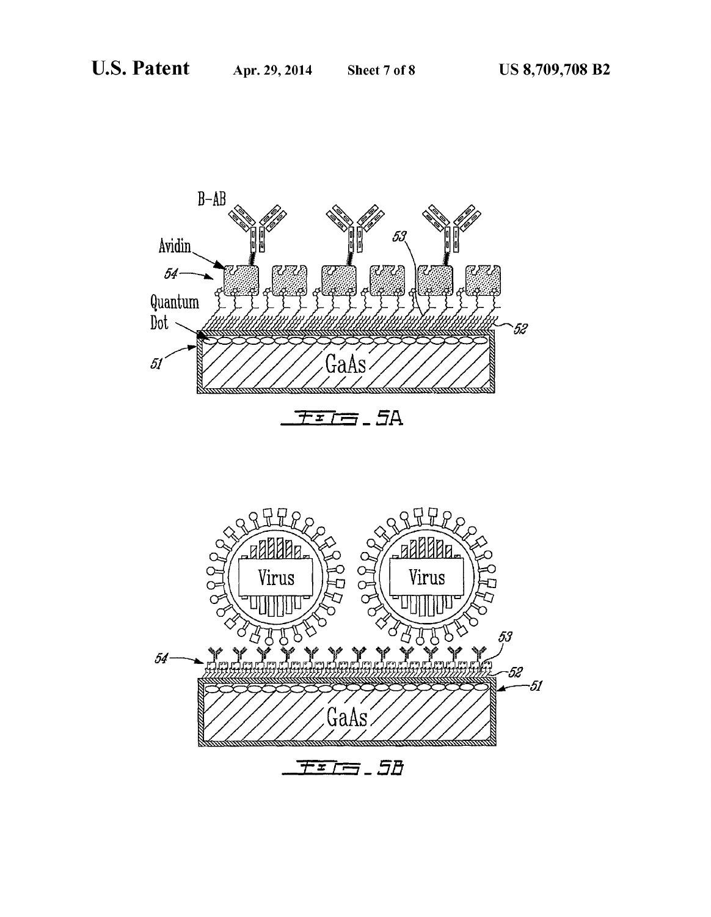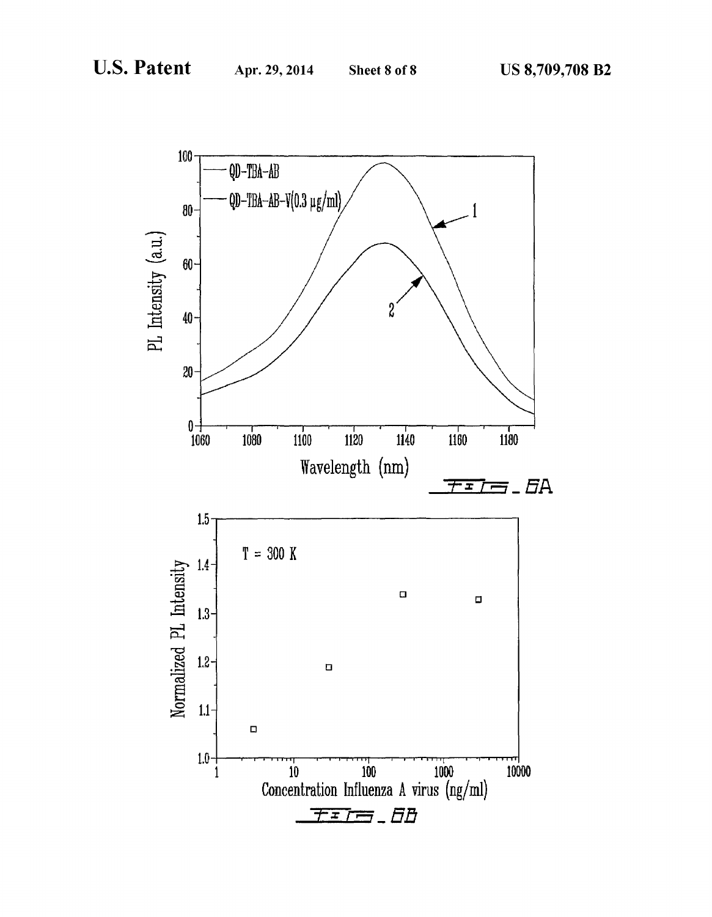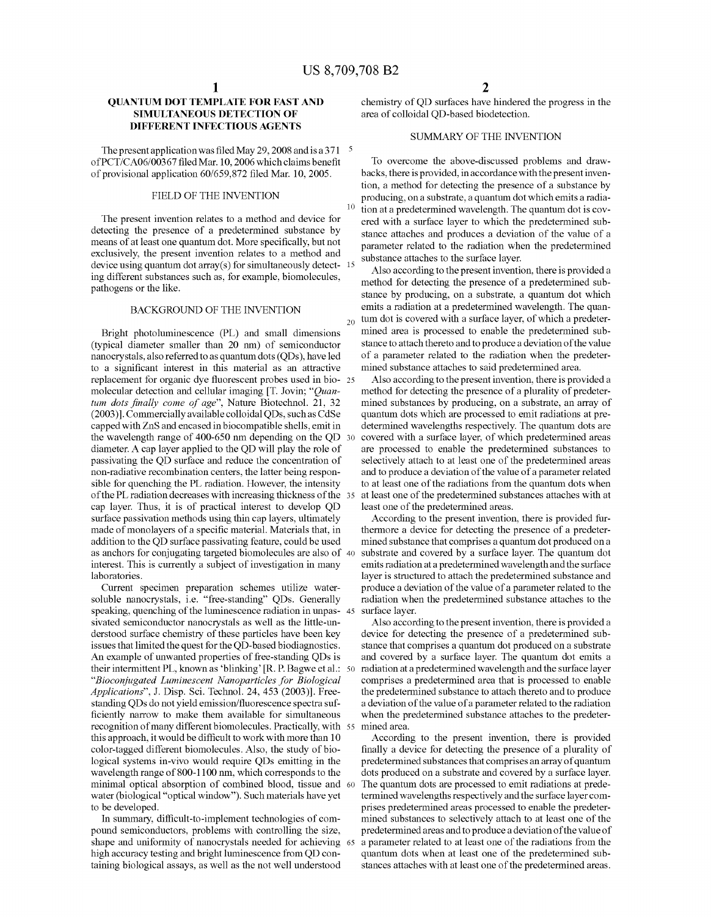#### **QUANTUM DOT TEMPLATE FOR FAST AND SIMULTANEOUS DETECTION OF DIFFERENT INFECTIOUS AGENTS**

The present application was filed May 29, 2008 and is a 371  $\frac{5}{2}$ ofPCT/CA06/00367 filed Mar. 10,2006 which claims benefit of provisional application 60/659,872 filed Mar. 10,2005.

#### FIELD OF THE INVENTION

The present invention relates to a method and device for detecting the presence of a predetermined substance by means of at least one quantum dot. More specifically, but not exclusively, the present invention relates to a method and device using quantum dot array(s) for simultaneously detect- 15 ing different substances such as, for example, biomolecules, pathogens or the like.

#### BACKGROUND OF THE INVENTION

Bright photoluminescence (PL) and small dimensions (typical diameter smaller than 20 nm) of semiconductor nanocrystals, also referred to as quantum dots (QDs), have led to a significant interest in this material as an attractive replacement for organic dye fluorescent probes used in bio- 25 molecular detection and cellular imaging [T. Jovin; *"Quantum dots finally come of age",* Nature Biotechnol. 21, 32 (2003)]. Commercially available colloidal QDs, such as CdSe capped with ZnS and encased in biocompatible shells, emit in the wavelength range of 400-650 nm depending on the QD diameter. A cap layer applied to the QD will play the role of passivating the QD surface and reduce the concentration of non-radiative recombination centers, the latter being responsible for quenching the PL radiation. However, the intensity of the PL radiation decreases with increasing thickness of the cap layer. Thus, it is of practical interest to develop QD surface passivation methods using thin cap layers, ultimately made of monolayers of a specific material. Materials that, in addition to the QD surface passivating feature, could be used as anchors for conjugating targeted biomolecules are also of interest. This is currently a subject of investigation in many laboratories.

Current specimen preparation schemes utilize watersoluble nanocrystals, i.e. "free-standing" QDs. Generally speaking, quenching of the luminescence radiation in unpas- 45 sivated semiconductor nanocrystals as well as the little-understood surface chemistry of these particles have been key issues that limited the quest for the QD-based biodiagnostics. An example of unwanted properties of free-standing QDs is their intermittent PL, known as 'blinking' [R. P. Bagwe et al.: 50] *"Bioconjugated Luminescent Nanoparticles for Biological Applications",* J. Disp. Sci. Technol. 24, 453 (2003)]. Freestanding QDs do not yield emission/fluorescence spectra sufficiently narrow to make them available for simultaneous recognition of many different biomolecules. Practically, with this approach, it would be difficult to work with more than 10 color-tagged different biomolecules. Also, the study of biological systems in-vivo would require QDs emitting in the wavelength range of 800-1100 nm, which corresponds to the minimal optical absorption of combined blood, tissue and water (biological "optical window"). Such materials have yet to be developed.

In summary, difficult-to-implement technologies of compound semiconductors, problems with controlling the size, shape and uniformity of nanocrystals needed for achieving 65 high accuracy testing and bright luminescence from QD containing biological assays, as well as the not well understood

chemistry of QD surfaces have hindered the progress in the area of colloidal QD-based biodetection.

#### SUMMARY OF THE INVENTION

To overcome the above-discussed problems and drawbacks, there is provided, in accordance with the present invention, a method for detecting the presence of a substance by producing, on a substrate, a quantum dot which emits a radia- $10<sup>-10</sup>$  tion at a predetermined wavelength. The quantum dot is covered with a surface layer to which the predetermined substance attaches and produces a deviation of the value of a parameter related to the radiation when the predetermined substance attaches to the surface layer.

Also according to the present invention, there is provided a method for detecting the presence of a predetermined substance by producing, on a substrate, a quantum dot which emits a radiation at a predetermined wavelength. The quan- $_{20}$  tum dot is covered with a surface layer, of which a predetermined area is processed to enable the predetermined substance to attach thereto and to produce a deviation of the value of a parameter related to the radiation when the predetermined substance attaches to said predetermined area.

Also according to the present invention, there is provided a method for detecting the presence of a plurality of predetermined substances by producing, on a substrate, an array of quantum dots which are processed to emit radiations at predetermined wavelengths respectively. The quantum dots are covered with a surface layer, of which predetermined areas are processed to enable the predetermined substances to selectively attach to at least one of the predetermined areas and to produce a deviation of the value of a parameter related to at least one of the radiations from the quantum dots when at least one of the predetermined substances attaches with at least one of the predetermined areas.

According to the present invention, there is provided furthermore a device for detecting the presence of a predetermined substance that comprises a quantum dot produced on a substrate and covered by a surface layer. The quantum dot emits radiation at a predetermined wavelength and the surface layer is structured to attach the predetermined substance and produce a deviation of the value of a parameter related to the radiation when the predetermined substance attaches to the surface layer.

Also according to the present invention, there is provided a device for detecting the presence of a predetermined substance that comprises a quantum dot produced on a substrate and covered by a surface layer. The quantum dot emits a radiation at a predetermined wavelength and the surface layer comprises a predetermined area that is processed to enable the predetermined substance to attach thereto and to produce a deviation of the value of a parameter related to the radiation when the predetermined substance attaches to the predetermined area.

According to the present invention, there is provided finally a device for detecting the presence of a plurality of predetermined substances that comprises an array of quantum dots produced on a substrate and covered by a surface layer. The quantum dots are processed to emit radiations at predetermined wavelengths respectively and the surface layer comprises predetermined areas processed to enable the predetermined substances to selectively attach to at least one of the predetermined areas and to produce a deviation of the value of a parameter related to at least one of the radiations from the quantum dots when at least one of the predetermined substances attaches with at least one of the predetermined areas.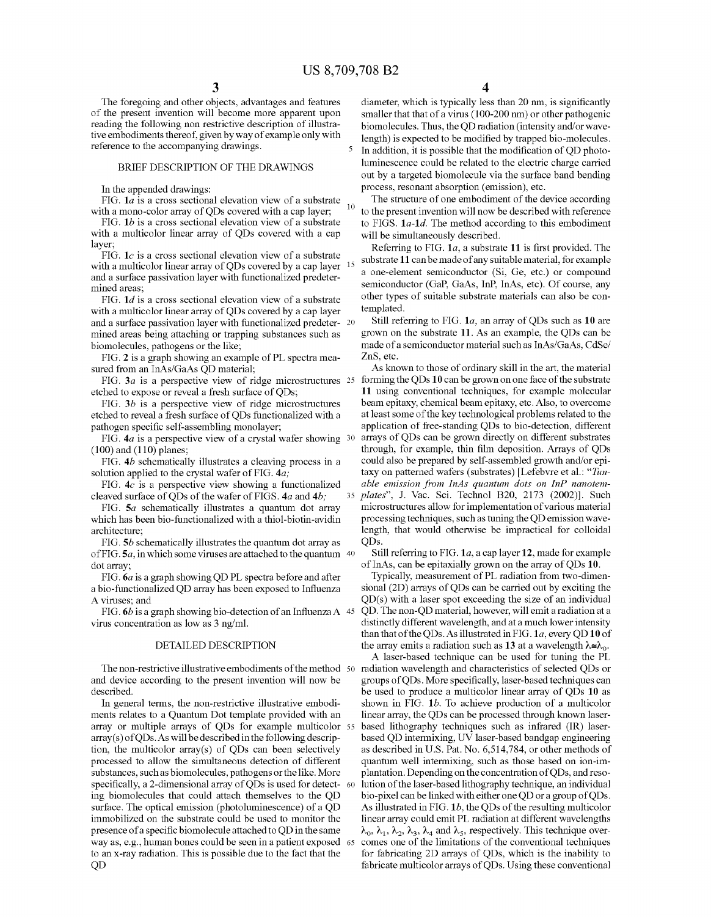5

The foregoing and other objects, advantages and features of the present invention will become more apparent upon reading the following non restrictive description of illustrative embodiments thereof, given by way of example only with reference to the accompanying drawings.

#### BRIEF DESCRIPTION OF THE DRAWINGS

In the appended drawings:

FIG. *1a* is a cross sectional elevation view of a substrate with a mono-color array of QDs covered with a cap layer;

FIG. *1b* is a cross sectional elevation view of a substrate with a multicolor linear array of QDs covered with a cap layer;

FIG.  $1c$  is a cross sectional elevation view of a substrate with a multicolor linear array of QDs covered by a cap layer and a surface passivation layer with functionalized predetermined areas;

FIG. *1d* is a cross sectional elevation view of a substrate with a multicolor linear array of QDs covered by a cap layer templated. and a surface passivation layer with functionalized predeter- 20 mined areas being attaching or trapping substances such as biomolecules, pathogens or the like;

FIG. 2 is a graph showing an example of PL spectra mea-<br>ZnS, etc. sured from an InAs/GaAs QD material;

FIG.  $3a$  is a perspective view of ridge microstructures 25 etched to expose or reveal a fresh surface of QDs;

FIG. *3b* is a perspective view of ridge microstructures etched to reveal a fresh surface ofQDs functionalized with a pathogen specific self-assembling monolayer;

FIG. *4a* is a perspective view of a crystal wafer showing (100) and (110) planes;

FIG. *4b* schematically illustrates a cleaving process in a solution applied to the crystal wafer of FIG. *4a;* 

FIG.  $4c$  is a perspective view showing a functionalized cleaved surface ofQDs of the wafer of FIGS. *4a* and *4b;* 

FIG. *Sa* schematically illustrates a quantum dot array which has been bio-functionalized with a thiol-biotin-avidin architecture;

FIG. *Sb* schematically illustrates the quantum dot array as of FIG. *Sa,* in which some viruses are attached to the quantum 40 dot array;

FIG. *6a* is a graph showing QD PL spectra before and after a bio-functionalized QD array has been exposed to Influenza A viruses; and

FIG. 6*b* is a graph showing bio-detection of an Influenza A 45 virus concentration as low as 3 ng/ml.

#### DETAILED DESCRIPTION

The non-restrictive illustrative embodiments of the method 50 and device according to the present invention will now be described.

In general tenns, the non-restrictive illustrative embodiments relates to a Quantum Dot template provided with an array or multiple arrays of QDs for example multicolor 55 array(s) ofQDs. As will be described in the following description, the multicolor array(s) of QDs can been selectively processed to allow the simultaneous detection of different substances, such as biomolecules, pathogens or the like. More specifically, a 2-dimensional array of QDs is used for detect- 60 ing biomolecules that could attach themselves to the QD surface. The optical emission (photoluminescence) of a QD immobilized on the substrate could be used to monitor the presence of a specific biomolecule attached to QD in the same way as, e.g., human bones could be seen in a patient exposed to an x-ray radiation. This is possible due to the fact that the QD

4

diameter, which is typically less than 20 nm, is significantly smaller that that of a virus (100-200 nm) or other pathogenic biomolecules. Thus, the QD radiation (intensity and/or wavelength) is expected to be modified by trapped bio-molecules. In addition, it is possible that the modification of QD photoluminescence could be related to the electric charge carried out by a targeted biomolecule via the surface band bending process, resonant absorption (emission), etc.

The structure of one embodiment of the device according <sup>10</sup> to the present invention will now be described with reference to FIGS. *1a-1d.* The method according to this embodiment will be simultaneously described.

Referring to FIG. *la,* a substrate 11 is first provided. The substrate 11 can be made of any suitable material, for example a one-element semiconductor (Si, Ge, etc.) or compound semiconductor (GaP, GaAs, InP, InAs, etc). Of course, any other types of suitable substrate materials can also be con-

Still referring to FIG. *la,* an array of QDs such as **10** are grown on the substrate 11. As an example, the QDs can be made of a semiconductor material such as InAs/GaAs, CdSel

As known to those of ordinary skill in the art, the material 25 forming the QDs **10** can be grown on one face of the substrate 11 using conventional techniques, for example molecular beam epitaxy, chemical beam epitaxy, etc. Also, to overcome at least some of the key technological problems related to the application of free-standing QDs to bio-detection, different arrays of QDs can be grown directly on different substrates through, for example, thin film deposition. Arrays of QDs could also be prepared by self-assembled growth and/or epitaxy on patterned wafers (substrates) [Lefebvre et al.: *"Tunable emission from InAs quantum dots on InP nanotem-35 plates",* J. Vac. Sci. Technol B20, 2173 (2002)]. Such microstructures allow for implementation of various material processing techniques, such as tuning the QD emission wavelength, that would otherwise be impractical for colloidal QDs.

Still referring to FIG. *la,* a cap layer 12, made for example of InAs, can be epitaxially grown on the array of QDs 10.

Typically, measurement of PL radiation from two-dimensional (2D) arrays of QDs can be carried out by exciting the QD(s) with a laser spot exceeding the size of an individual 45 QD. The non-QD material, however, will emit a radiation at a distinctly different wavelength, and at a much lower intensity than that of the QDs.As illustrated in FIG. *la,* every QD **10** of the array emits a radiation such as 13 at a wavelength  $\lambda \cong \lambda_0$ .

A laser-based technique can be used for tuning the PL radiation wavelength and characteristics of selected QDs or groups ofQDs. More specifically, laser-based techniques can be used to produce a multicolor linear array of QDs **10** as shown in FIG. *lb.* To achieve production of a multicolor linear array, the QDs can be processed through known laserbased lithography techniques such as infrared (IR) laserbased QD intermixing, UV laser-based bandgap engineering as described in U.S. Pat. No. 6,514,784, or other methods of quantum well intermixing, such as those based on ion-implantation. Depending on the concentration ofQDs, andresolution of the laser-based lithography technique, an individual bio-pixel can be linked with either one QD or a group ofQDs. As illustrated in FIG. *1b,* the QDs of the resulting multicolor linear array could emit PL radiation at different wavelengths  $\lambda_0$ ,  $\lambda_1$ ,  $\lambda_2$ ,  $\lambda_3$ ,  $\lambda_4$  and  $\lambda_5$ , respectively. This technique overcomes one of the limitations of the conventional techniques for fabricating 2D arrays of QDs, which is the inability to fabricate multicolor arrays ofQDs. Using these conventional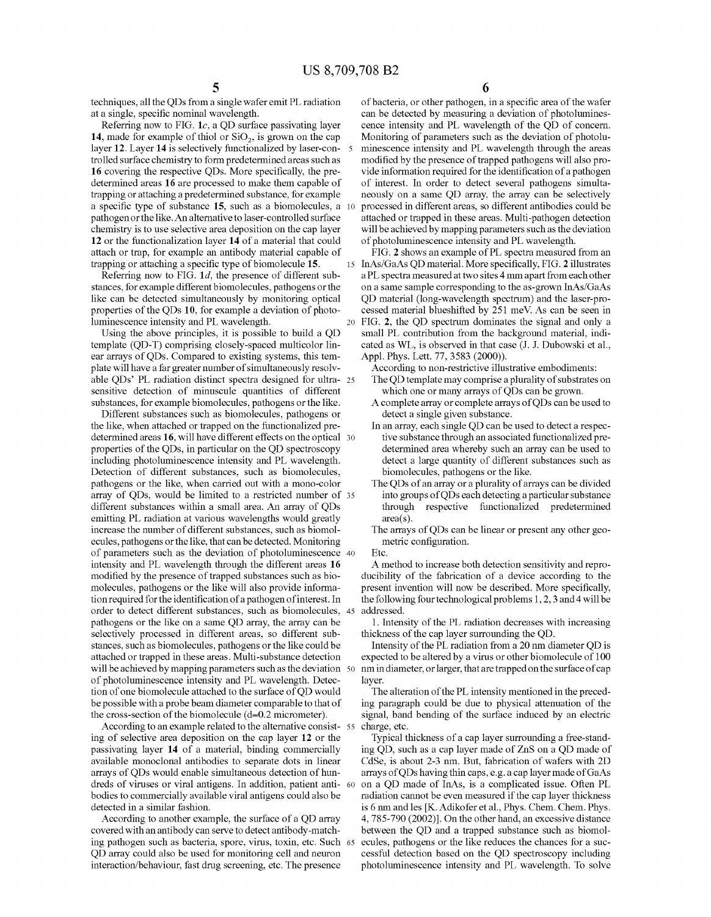techniques, all the QDs from a single wafer emit PL radiation at a single, specific nominal wavelength.

Referring now to FIG. *Ie,* a QD surface passivating layer 14, made for example of thiol or  $SiO<sub>2</sub>$ , is grown on the cap layer 12. Layer **14** is selectively functionalized by laser-controlled surface chemistry to fonn predetennined areas such as **16** covering the respective QDs. More specifically, the predetermined areas **16** are processed to make them capable of trapping or attaching a predetermined substance, for example a specific type of substance 15, such as a biomolecules, a pathogen or the like. An alternative to laser-controlled surface chemistry is to use selective area deposition on the cap layer **12** or the functionalization layer **14** of a material that could attach or trap, for example an antibody material capable of trapping or attaching a specific type of biomolecule 15.

Referring now to FIG. *Id,* the presence of different substances, for example different biomolecules, pathogens or the like can be detected simultaneously by monitoring optical properties of the QDs 10, for example a deviation of photoluminescence intensity and PL wavelength.

Using the above principles, it is possible to build a QD template (QD-T) comprising closely-spaced multicolor linear arrays of QDs. Compared to existing systems, this template will have a far greater number of simultaneously resolvable QDs' PL radiation distinct spectra designed for ultra- 25 sensitive detection of minuscule quantities of different substances, for example biomolecules, pathogens or the like.

Different substances such as biomolecules, pathogens or the like, when attached or trapped on the functionalized predetermined areas 16, will have different effects on the optical 30 properties of the QDs, in particular on the QD spectroscopy including photoluminescence intensity and PL wavelength. Detection of different substances, such as biomolecules, pathogens or the like, when carried out with a mono-color array of QDs, would be limited to a restricted number of 35 different substances within a small area. An array of QDs emitting PL radiation at various wavelengths would greatly increase the number of different substances, such as biomolecules, pathogens or the like, that can be detected. Monitoring of parameters such as the deviation of photoluminescence 40 intensity and PL wavelength through the different areas **16**  modified by the presence of trapped substances such as biomolecules, pathogens or the like will also provide informationrequired for the identification of a pathogen of interest. In order to detect different substances, such as biomolecules, 45 pathogens or the like on a same QD array, the array can be selectively processed in different areas, so different substances, such as biomolecules, pathogens or the like could be attached or trapped in these areas. Multi-substance detection will be achieved by mapping parameters such as the deviation 50 of photoluminescence intensity and PL wavelength. Detection of one biomolecule attached to the surface of QD would be possible with a probe beam diameter comparable to that of the cross-section of the biomolecule  $(d \approx 0.2$  micrometer).

According to an example related to the alternative consist- 55 ing of selective area deposition on the cap layer **12** or the passivating layer **14** of a material, binding commercially available monoclonal antibodies to separate dots in linear arrays of QDs would enable simultaneous detection of hundreds of viruses or viral antigens. In addition, patient anti- <sup>60</sup> bodies to commercially available viral antigens could also be detected in a similar fashion.

According to another example, the surface of a QD array covered with an antibody can serve to detect antibody-matching pathogen such as bacteria, spore, virus, toxin, etc. Such QD array could also be used for monitoring cell and neuron interaction/behaviour, fast drug screening, etc. The presence

of bacteria, or other pathogen, in a specific area of the wafer can be detected by measuring a deviation of photoluminescence intensity and PL wavelength of the QD of concern. Monitoring of parameters such as the deviation of photoluminescence intensity and PL wavelength through the areas modified by the presence of trapped pathogens will also provide information required for the identification of a pathogen of interest. In order to detect several pathogens simultaneously on a same QD array, the array can be selectively 10 processed in different areas, so different antibodies could be attached or trapped in these areas. Multi-pathogen detection will be achieved by mapping parameters such as the deviation of photoluminescence intensity and PL wavelength.

FIG. 2 shows an example of PL spectra measured from an 15 InAs/GaAs QD material. More specifically, FIG. 2 illustrates a PL spectra measured at two sites 4 mm apart from each other on a same sample corresponding to the as-grown InAs/GaAs QD material (long-wavelength spectrum) and the laser-processed material blueshifted by 251 meY. As can be seen in 20 FIG. 2, the QD spectrum dominates the signal and only a small PL contribution from the background material, indicated as WL, is observed in that case (J. J. Dubowski et aI., Appl. Phys. Lett. 77, 3583 (2000)).

According to non-restrictive illustrative embodiments: The QD template may comprise a plurality of substrates on

- which one or many arrays of QDs can be grown.
- A complete array or complete arrays ofQDs can be used to detect a single given substance.
- In an array, each single QD can be used to detect a respective substance through an associated functionalized predetermined area whereby such an array can be used to detect a large quantity of different substances such as biomolecules, pathogens or the like.
- The QDs of an array or a plurality of arrays can be divided into groups ofQDs each detecting a particular substance through respective functionalized predetermined area(s).
- The arrays of QDs can be linear or present any other geometric configuration.
- Etc.

A method to increase both detection sensitivity and reproducibility of the fabrication of a device according to the present invention will now be described. More specifically, the following four technological problems 1,2,3 and 4 will be addressed.

1. Intensity of the PL radiation decreases with increasing thickness of the cap layer surrounding the QD.

Intensity of the PL radiation from a 20 nm diameter QD is expected to be altered by a virus or other biomolecule of 100 nm in diameter, or larger, that are trapped on the surface of cap layer.

The alteration of the PL intensity mentioned in the preceding paragraph could be due to physical attenuation of the signal, band bending of the surface induced by an electric charge, etc.

Typical thickness of a cap layer surrounding a free-standing QD, such as a cap layer made of ZnS on a QD made of CdSe, is about 2-3 nm. But, fabrication of wafers with 2D arrays ofQDs having thin caps, e.g. a cap layer made ofGaAs on a QD made of InAs, is a complicated issue. Often PL radiation carmot be even measured if the cap layer thickness is 6 nm and les [K. Adikofer et al., Phys. Chem. Chem. Phys. 4,785-790 (2002)]. On the other hand, an excessive distance between the QD and a trapped substance such as biomolecules, pathogens or the like reduces the chances for a successful detection based on the QD spectroscopy including photoluminescence intensity and PL wavelength. To solve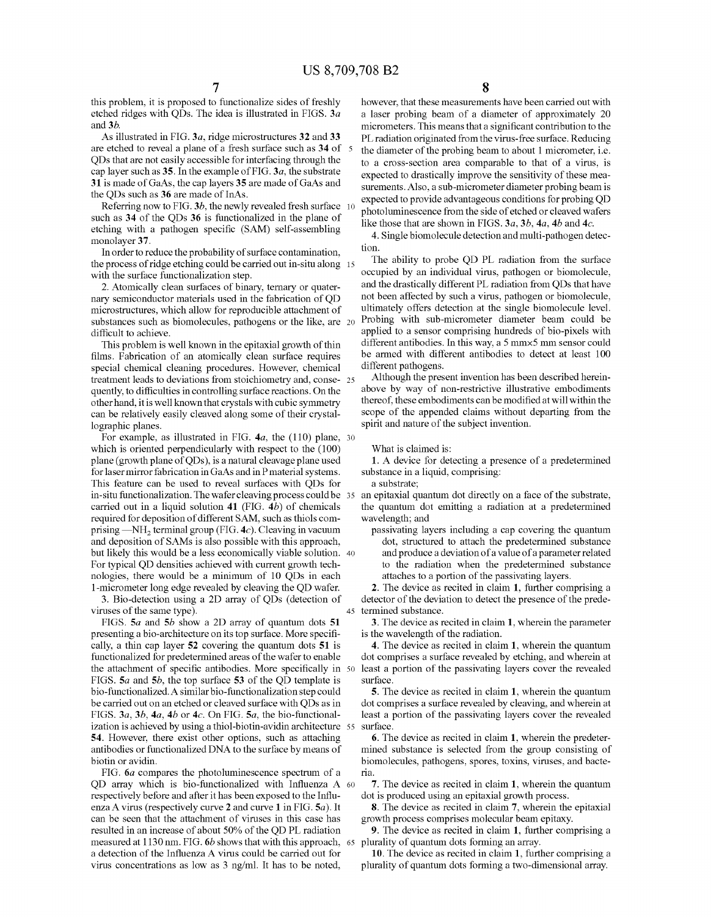this problem, it is proposed to functionalize sides of freshly etched ridges with QDs. The idea is illustrated in FIGS. *3a*  and *3b.* 

As illustrated in FIG. *3a,* ridge microstructures 32 and 33 are etched to reveal a plane of a fresh surface such as 34 of QDs that are not easily accessible for interfacing through the cap layer such as 35. In the example of FIG. *3a,* the substrate 31 is made of GaAs, the cap layers 35 are made of GaAs and the QDs such as 36 are made of InAs.

Referring now to FIG. *3b,* the newly revealed fresh surface such as 34 of the QDs 36 is functionalized in the plane of etching with a pathogen specific (SAM) self-assembling monolayer 37.

In order to reduce the probability of surface contamination, the process of ridge etching could be carried out in-situ along 15 with the surface functionalization step.

2. Atomically clean surfaces of binary, ternary or quaternary semiconductor materials used in the fabrication of QD microstructures, which allow for reproducible attachment of substances such as biomolecules, pathogens or the like, are 20 difficult to achieve.

This problem is well known in the epitaxial growth of thin films. Fabrication of an atomically clean surface requires special chemical cleaning procedures. However, chemical treatment leads to deviations from stoichiometry and, conse- 25 quently, to difficulties in controlling surface reactions. On the other hand, it is well known that crystals with cubic symmetry can be relatively easily cleaved along some of their crystallographic planes.

For example, as illustrated in FIG. *4a,* the (110) plane, 30 which is oriented perpendicularly with respect to the (100) plane (growth plane ofQDs), is a natural cleavage plane used for laser mirror fabrication in GaAs and in P material systems. This feature can be used to reveal surfaces with QDs for in-situ functionalization. The wafer cleaving process could be 35 carried out in a liquid solution **41** (FIG. *4b)* of chemicals required for deposition of different SAM, such as thiols comprising -NH<sub>2</sub> terminal group (FIG. 4c). Cleaving in vacuum and deposition of SAMs is also possible with this approach, but likely this would be a less economically viable solution. 40 For typical QD densities achieved with current growth technologies, there would be a minimum of 10 QDs in each I-micrometer long edge revealed by cleaving the QD wafer. 2. The device as recited in claim 1, further comprising a

3. Bio-detection using a 2D array of QDs (detection of viruses of the same type).

FIGS. *Sa* and *5b* show a 2D array of quantum dots 51 presenting a bio-architecture on its top surface. More specifically, a thin cap layer 52 covering the quantum dots 51 is functionalized for predetermined areas of the wafer to enable the attachment of specific antibodies. More specifically in 50 FIGS. *Sa* and *5b,* the top surface 53 of the QD template is bio-functionalized. A similar bio-functionalization step could be carried out on an etched or cleaved surface with QDs as in FIGS. *3a, 3b, 4a, 4b* or *4c.* On FIG. *Sa,* the bio-functionalization is achieved by using a thiol-biotin-avidin architecture 55 54. However, there exist other options, such as attaching antibodies or functionalized DNA to the surface by means of biotin or avidin.

FIG. *6a* compares the photoluminescence spectrum of a QD array which is bio-functionalized with Influenza A 60 respectively before and after it has been exposed to the Influenza A virus (respectively curve 2 and curve 1 in FIG. *Sa).* It can be seen that the attachment of viruses in this case has resulted in an increase of about 50% of the QD PL radiation measured at 1130 nm. FIG. *6b* shows that with this approach, 65 a detection of the Influenza A virus could be carried out for virus concentrations as low as 3 ng/ml. It has to be noted,

8

however, that these measurements have been carried out with a laser probing beam of a diameter of approximately 20 micrometers. This means that a significant contribution to the PL radiation originated from the virus-free surface. Reducing the diameter of the probing beam to about 1 micrometer, i.e. to a cross-section area comparable to that of a virus, is expected to drastically improve the sensitivity of these measurements. Also, a sub-micrometer diameter probing beam is expected to provide advantageous conditions for probing QD photoluminescence from the side of etched or cleaved wafers like those that are shown in FIGS. *3a, 3b, 4a, 4b* and *4c.* 

4. Single biomolecule detection and multi-pathogen detection.

The ability to probe QD PL radiation from the surface occupied by an individual virus, pathogen or biomolecule, and the drastically different PL radiation from QDs that have not been affected by such a virus, pathogen or biomolecule, ultimately offers detection at the single biomolecule level. Probing with sub-micrometer diameter beam could be applied to a sensor comprising hundreds of bio-pixels with different antibodies. In this way, a 5 mmx5 mm sensor could be armed with different antibodies to detect at least 100 different pathogens.

Although the present invention has been described hereinabove by way of non-restrictive illustrative embodiments thereof, these embodiments can be modified at will within the scope of the appended claims without departing from the spirit and nature of the subject invention.

What is claimed is:

1. A device for detecting a presence of a predetermined substance in a liquid, comprising:

a substrate;

an epitaxial quantum dot directly on a face of the substrate, the quantum dot emitting a radiation at a predetermined wavelength; and

passivating layers including a cap covering the quantum dot, structured to attach the predetermined substance and produce a deviation of a value of a parameter related to the radiation when the predetermined substance attaches to a portion of the passivating layers.

detector of the deviation to detect the presence of the prede-45 termined substance.

3. The device as recited in claim 1, wherein the parameter is the wavelength of the radiation.

4. The device as recited in claim 1, wherein the quantum dot comprises a surface revealed by etching, and wherein at least a portion of the passivating layers cover the revealed surface.

5. The device as recited in claim 1, wherein the quantum dot comprises a surface revealed by cleaving, and wherein at least a portion of the passivating layers cover the revealed surface.

6. The device as recited in claim 1, wherein the predetermined substance is selected from the group consisting of biomolecules, pathogens, spores, toxins, viruses, and bactena.

7. The device as recited in claim 1, wherein the quantum dot is produced using an epitaxial growth process.

8. The device as recited in claim 7, wherein the epitaxial growth process comprises molecular beam epitaxy.

9. The device as recited in claim 1, further comprising a plurality of quantum dots forming an array.

10. The device as recited in claim 1, further comprising a plurality of quantum dots forming a two-dimensional array.